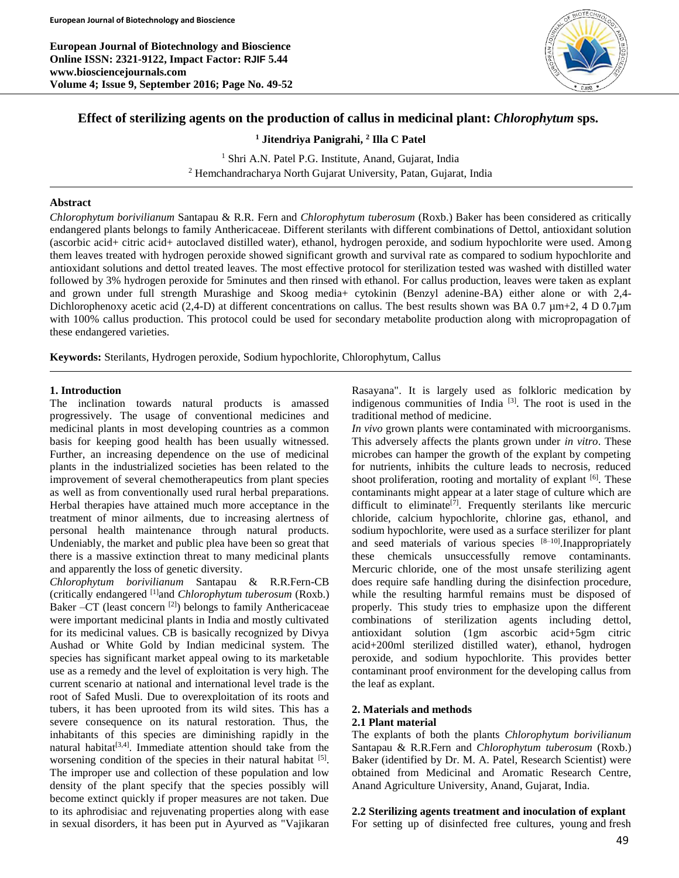**European Journal of Biotechnology and Bioscience Online ISSN: 2321-9122, Impact Factor: RJIF 5.44 www.biosciencejournals.com Volume 4; Issue 9, September 2016; Page No. 49-52**



# **Effect of sterilizing agents on the production of callus in medicinal plant:** *Chlorophytum* **sps.**

**<sup>1</sup> Jitendriya Panigrahi, 2 Illa C Patel**

<sup>1</sup> Shri A.N. Patel P.G. Institute, Anand, Gujarat, India <sup>2</sup> Hemchandracharya North Gujarat University, Patan, Gujarat, India

# **Abstract**

*Chlorophytum borivilianum* Santapau & R.R. Fern and *Chlorophytum tuberosum* (Roxb.) Baker has been considered as critically endangered plants belongs to family Anthericaceae. Different sterilants with different combinations of Dettol, antioxidant solution (ascorbic acid+ citric acid+ autoclaved distilled water), ethanol, hydrogen peroxide, and sodium hypochlorite were used. Among them leaves treated with hydrogen peroxide showed significant growth and survival rate as compared to sodium hypochlorite and antioxidant solutions and dettol treated leaves. The most effective protocol for sterilization tested was washed with distilled water followed by 3% hydrogen peroxide for 5minutes and then rinsed with ethanol. For callus production, leaves were taken as explant and grown under full strength Murashige and Skoog media+ cytokinin (Benzyl adenine-BA) either alone or with 2,4- Dichlorophenoxy acetic acid (2,4-D) at different concentrations on callus. The best results shown was BA 0.7  $\mu$ m+2, 4 D 0.7 $\mu$ m with 100% callus production. This protocol could be used for secondary metabolite production along with micropropagation of these endangered varieties.

**Keywords:** Sterilants, Hydrogen peroxide, Sodium hypochlorite, Chlorophytum, Callus

# **1. Introduction**

The inclination towards natural products is amassed progressively. The usage of conventional medicines and medicinal plants in most developing countries as a common basis for keeping good health has been usually witnessed. Further, an increasing dependence on the use of medicinal plants in the industrialized societies has been related to the improvement of several chemotherapeutics from plant species as well as from conventionally used rural herbal preparations. Herbal therapies have attained much more acceptance in the treatment of minor ailments, due to increasing alertness of personal health maintenance through natural products. Undeniably, the market and public plea have been so great that there is a massive extinction threat to many medicinal plants and apparently the loss of genetic diversity.

*Chlorophytum borivilianum* Santapau & R.R.Fern-CB (critically endangered [1] and *Chlorophytum tuberosum* (Roxb.) Baker - CT (least concern <sup>[2]</sup>) belongs to family Anthericaceae were important medicinal plants in India and mostly cultivated for its medicinal values. CB is basically recognized by Divya Aushad or White Gold by Indian medicinal system. The species has significant market appeal owing to its marketable use as a remedy and the level of exploitation is very high. The current scenario at national and international level trade is the root of Safed Musli. Due to overexploitation of its roots and tubers, it has been uprooted from its wild sites. This has a severe consequence on its natural restoration. Thus, the inhabitants of this species are diminishing rapidly in the natural habitat<sup>[3,4]</sup>. Immediate attention should take from the worsening condition of the species in their natural habitat [5]. The improper use and collection of these population and low density of the plant specify that the species possibly will become extinct quickly if proper measures are not taken. Due to its aphrodisiac and rejuvenating properties along with ease in sexual disorders, it has been put in Ayurved as "Vajikaran

Rasayana". It is largely used as folkloric medication by indigenous communities of India [3]. The root is used in the traditional method of medicine.

*In vivo* grown plants were contaminated with microorganisms. This adversely affects the plants grown under *in vitro*. These microbes can hamper the growth of the explant by competing for nutrients, inhibits the culture leads to necrosis, reduced shoot proliferation, rooting and mortality of explant <sup>[6]</sup>. These contaminants might appear at a later stage of culture which are difficult to eliminate<sup>[7]</sup>. Frequently sterilants like mercuric chloride, calcium hypochlorite, chlorine gas, ethanol, and sodium hypochlorite, were used as a surface sterilizer for plant and seed materials of various species  $[8-10]$ . Inappropriately these chemicals unsuccessfully remove contaminants. Mercuric chloride, one of the most unsafe sterilizing agent does require safe handling during the disinfection procedure, while the resulting harmful remains must be disposed of properly. This study tries to emphasize upon the different combinations of sterilization agents including dettol, antioxidant solution (1gm ascorbic acid+5gm citric acid+200ml sterilized distilled water), ethanol, hydrogen peroxide, and sodium hypochlorite. This provides better contaminant proof environment for the developing callus from the leaf as explant.

### **2. Materials and methods 2.1 Plant material**

The explants of both the plants *Chlorophytum borivilianum*  Santapau & R.R.Fern and *Chlorophytum tuberosum* (Roxb.) Baker (identified by Dr. M. A. Patel, Research Scientist) were obtained from Medicinal and Aromatic Research Centre, Anand Agriculture University, Anand, Gujarat, India.

# **2.2 Sterilizing agents treatment and inoculation of explant**

For setting up of disinfected free cultures, young and fresh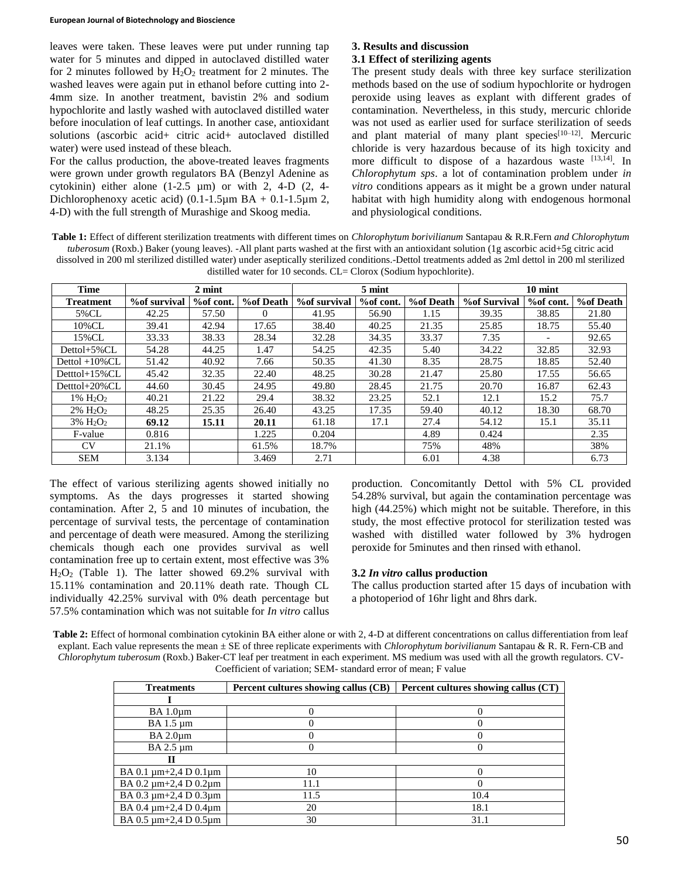#### **European Journal of Biotechnology and Bioscience**

leaves were taken. These leaves were put under running tap water for 5 minutes and dipped in autoclaved distilled water for 2 minutes followed by  $H_2O_2$  treatment for 2 minutes. The washed leaves were again put in ethanol before cutting into 2- 4mm size. In another treatment, bavistin 2% and sodium hypochlorite and lastly washed with autoclaved distilled water before inoculation of leaf cuttings. In another case, antioxidant solutions (ascorbic acid+ citric acid+ autoclaved distilled water) were used instead of these bleach.

For the callus production, the above-treated leaves fragments were grown under growth regulators BA (Benzyl Adenine as cytokinin) either alone  $(1-2.5 \mu m)$  or with 2, 4-D  $(2, 4-$ Dichlorophenoxy acetic acid)  $(0.1-1.5\mu m BA + 0.1-1.5\mu m 2,$ 4-D) with the full strength of Murashige and Skoog media.

# **3. Results and discussion**

# **3.1 Effect of sterilizing agents**

The present study deals with three key surface sterilization methods based on the use of sodium hypochlorite or hydrogen peroxide using leaves as explant with different grades of contamination. Nevertheless, in this study, mercuric chloride was not used as earlier used for surface sterilization of seeds and plant material of many plant species $[10-12]$ . Mercuric chloride is very hazardous because of its high toxicity and more difficult to dispose of a hazardous waste [13,14]. In *Chlorophytum sps*. a lot of contamination problem under *in vitro* conditions appears as it might be a grown under natural habitat with high humidity along with endogenous hormonal and physiological conditions.

**Table 1:** Effect of different sterilization treatments with different times on *Chlorophytum borivilianum* Santapau & R.R.Fern *and Chlorophytum tuberosum* (Roxb.) Baker (young leaves). -All plant parts washed at the first with an antioxidant solution (1g ascorbic acid+5g citric acid dissolved in 200 ml sterilized distilled water) under aseptically sterilized conditions.-Dettol treatments added as 2ml dettol in 200 ml sterilized distilled water for 10 seconds. CL= Clorox (Sodium hypochlorite).

| <b>Time</b>                         | 2 mint        |            |                  | 5 mint       |            |           | 10 mint             |            |                  |
|-------------------------------------|---------------|------------|------------------|--------------|------------|-----------|---------------------|------------|------------------|
| <b>Treatment</b>                    | % of survival | % of cont. | <b>%of Death</b> | %of survival | % of cont. | %of Death | <b>%of Survival</b> | % of cont. | <b>%of Death</b> |
| 5%CL                                | 42.25         | 57.50      |                  | 41.95        | 56.90      | 1.15      | 39.35               | 38.85      | 21.80            |
| 10%CL                               | 39.41         | 42.94      | 17.65            | 38.40        | 40.25      | 21.35     | 25.85               | 18.75      | 55.40            |
| 15%CL                               | 33.33         | 38.33      | 28.34            | 32.28        | 34.35      | 33.37     | 7.35                |            | 92.65            |
| Dettol+5%CL                         | 54.28         | 44.25      | 1.47             | 54.25        | 42.35      | 5.40      | 34.22               | 32.85      | 32.93            |
| Dettol $+10\%$ CL                   | 51.42         | 40.92      | 7.66             | 50.35        | 41.30      | 8.35      | 28.75               | 18.85      | 52.40            |
| Detttol+15%CL                       | 45.42         | 32.35      | 22.40            | 48.25        | 30.28      | 21.47     | 25.80               | 17.55      | 56.65            |
| $Detttol+20\%CI$                    | 44.60         | 30.45      | 24.95            | 49.80        | 28.45      | 21.75     | 20.70               | 16.87      | 62.43            |
| $1\% \text{ H}_2\text{O}_2$         | 40.21         | 21.22      | 29.4             | 38.32        | 23.25      | 52.1      | 12.1                | 15.2       | 75.7             |
| $2\% \text{ H}_2\text{O}_2$         | 48.25         | 25.35      | 26.40            | 43.25        | 17.35      | 59.40     | 40.12               | 18.30      | 68.70            |
| $3\%$ H <sub>2</sub> O <sub>2</sub> | 69.12         | 15.11      | 20.11            | 61.18        | 17.1       | 27.4      | 54.12               | 15.1       | 35.11            |
| F-value                             | 0.816         |            | 1.225            | 0.204        |            | 4.89      | 0.424               |            | 2.35             |
| CV                                  | 21.1%         |            | 61.5%            | 18.7%        |            | 75%       | 48%                 |            | 38%              |
| <b>SEM</b>                          | 3.134         |            | 3.469            | 2.71         |            | 6.01      | 4.38                |            | 6.73             |

The effect of various sterilizing agents showed initially no symptoms. As the days progresses it started showing contamination. After 2, 5 and 10 minutes of incubation, the percentage of survival tests, the percentage of contamination and percentage of death were measured. Among the sterilizing chemicals though each one provides survival as well contamination free up to certain extent, most effective was 3%  $H<sub>2</sub>O<sub>2</sub>$  (Table 1). The latter showed 69.2% survival with 15.11% contamination and 20.11% death rate. Though CL individually 42.25% survival with 0% death percentage but 57.5% contamination which was not suitable for *In vitro* callus production. Concomitantly Dettol with 5% CL provided 54.28% survival, but again the contamination percentage was high (44.25%) which might not be suitable. Therefore, in this study, the most effective protocol for sterilization tested was washed with distilled water followed by 3% hydrogen peroxide for 5minutes and then rinsed with ethanol.

### **3.2** *In vitro* **callus production**

The callus production started after 15 days of incubation with a photoperiod of 16hr light and 8hrs dark.

Table 2: Effect of hormonal combination cytokinin BA either alone or with 2, 4-D at different concentrations on callus differentiation from leaf explant. Each value represents the mean ± SE of three replicate experiments with *Chlorophytum borivilianum* Santapau & R. R. Fern-CB and *Chlorophytum tuberosum* (Roxb.) Baker-CT leaf per treatment in each experiment. MS medium was used with all the growth regulators. CV-Coefficient of variation; SEM- standard error of mean; F value

| <b>Treatments</b>                | Percent cultures showing callus (CB) | Percent cultures showing callus (CT) |
|----------------------------------|--------------------------------------|--------------------------------------|
|                                  |                                      |                                      |
| $BA 1.0 \mu m$                   | 0                                    |                                      |
| BA 1.5 µm                        | 0                                    |                                      |
| $BA 2.0 \mu m$                   |                                      |                                      |
| $BA 2.5 \mu m$                   | $\lceil$                             |                                      |
|                                  |                                      |                                      |
| BA 0.1 $\mu$ m+2,4 D 0.1 $\mu$ m | 10                                   |                                      |
| BA 0.2 $\mu$ m+2,4 D 0.2 $\mu$ m | 11.1                                 |                                      |
| BA 0.3 µm+2,4 D 0.3µm            | 11.5                                 | 10.4                                 |
| BA 0.4 $\mu$ m+2,4 D 0.4 $\mu$ m | 20                                   | 18.1                                 |
| BA 0.5 um+2,4 D 0.5um            | 30                                   | 31.1                                 |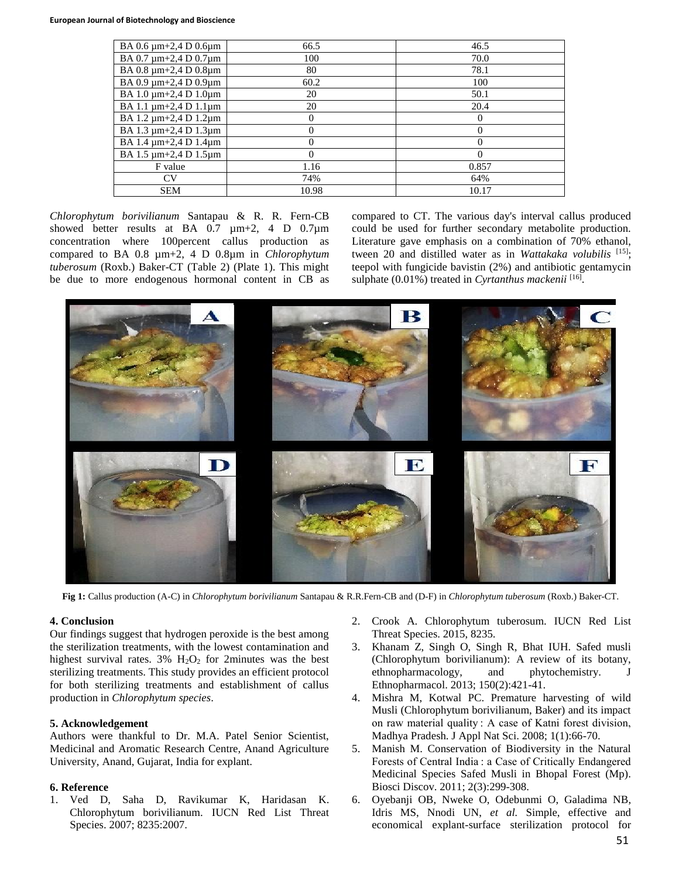#### **European Journal of Biotechnology and Bioscience**

| BA 0.6 µm+2,4 D 0.6µm            | 66.5     | 46.5     |  |
|----------------------------------|----------|----------|--|
| BA 0.7 um+2,4 D 0.7um            | 100      | 70.0     |  |
| BA 0.8 μm+2,4 D 0.8μm            | 80       | 78.1     |  |
| BA 0.9 μm+2,4 D 0.9μm            | 60.2     | 100      |  |
| BA 1.0 $\mu$ m+2,4 D 1.0 $\mu$ m | 20       | 50.1     |  |
| BA 1.1 um+2,4 D 1.1um            | 20       | 20.4     |  |
| BA 1.2 μm+2,4 D 1.2μm            | $\theta$ | 0        |  |
| BA 1.3 um+2,4 D 1.3um            |          | $\Omega$ |  |
| BA 1.4 $\mu$ m+2,4 D 1.4 $\mu$ m |          | $\Omega$ |  |
| BA 1.5 µm+2,4 D 1.5µm            |          | $\Omega$ |  |
| F value                          | 1.16     | 0.857    |  |
| CV.                              | 74%      | 64%      |  |
| <b>SEM</b>                       | 10.98    | 10.17    |  |

*Chlorophytum borivilianum* Santapau & R. R. Fern-CB showed better results at BA 0.7  $\mu$ m+2, 4 D 0.7 $\mu$ m concentration where 100percent callus production as compared to BA 0.8 µm+2, 4 D 0.8µm in *Chlorophytum tuberosum* (Roxb.) Baker-CT (Table 2) (Plate 1). This might be due to more endogenous hormonal content in CB as

compared to CT. The various day's interval callus produced could be used for further secondary metabolite production. Literature gave emphasis on a combination of 70% ethanol, tween 20 and distilled water as in *Wattakaka volubilis* [15]; teepol with fungicide bavistin (2%) and antibiotic gentamycin sulphate (0.01%) treated in *Cyrtanthus mackenii*<sup>[16]</sup>.



**Fig 1:** Callus production (A-C) in *Chlorophytum borivilianum* Santapau & R.R.Fern-CB and (D-F) in *Chlorophytum tuberosum* (Roxb.) Baker-CT.

# **4. Conclusion**

Our findings suggest that hydrogen peroxide is the best among the sterilization treatments, with the lowest contamination and highest survival rates.  $3\%$  H<sub>2</sub>O<sub>2</sub> for 2minutes was the best sterilizing treatments. This study provides an efficient protocol for both sterilizing treatments and establishment of callus production in *Chlorophytum species*.

## **5. Acknowledgement**

Authors were thankful to Dr. M.A. Patel Senior Scientist, Medicinal and Aromatic Research Centre, Anand Agriculture University, Anand, Gujarat, India for explant.

### **6. Reference**

1. Ved D, Saha D, Ravikumar K, Haridasan K. Chlorophytum borivilianum. IUCN Red List Threat Species. 2007; 8235:2007.

- 2. Crook A. Chlorophytum tuberosum. IUCN Red List Threat Species. 2015, 8235.
- 3. Khanam Z, Singh O, Singh R, Bhat IUH. Safed musli (Chlorophytum borivilianum): A review of its botany, ethnopharmacology, and phytochemistry. J Ethnopharmacol. 2013; 150(2):421-41.
- 4. Mishra M, Kotwal PC. Premature harvesting of wild Musli (Chlorophytum borivilianum, Baker) and its impact on raw material quality : A case of Katni forest division, Madhya Pradesh. J Appl Nat Sci. 2008; 1(1):66-70.
- 5. Manish M. Conservation of Biodiversity in the Natural Forests of Central India : a Case of Critically Endangered Medicinal Species Safed Musli in Bhopal Forest (Mp). Biosci Discov. 2011; 2(3):299-308.
- 6. Oyebanji OB, Nweke O, Odebunmi O, Galadima NB, Idris MS, Nnodi UN, *et al.* Simple, effective and economical explant-surface sterilization protocol for